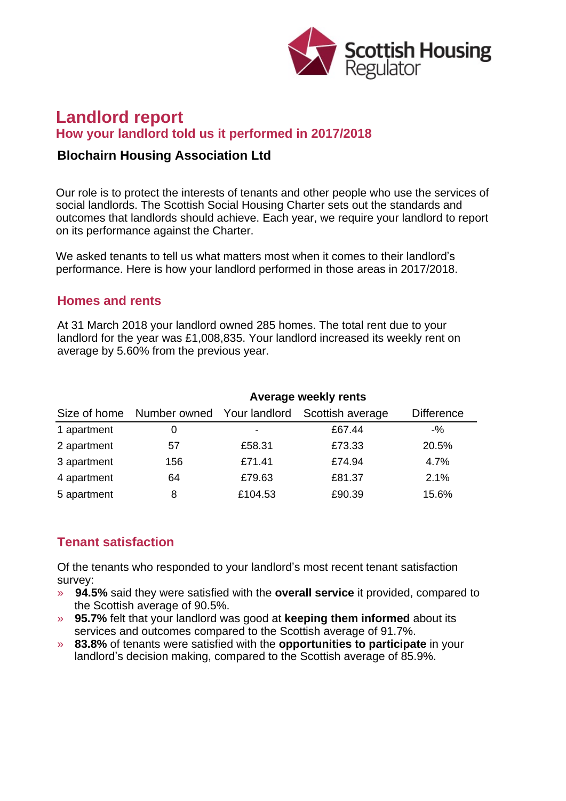

# **Landlord report How your landlord told us it performed in 2017/2018**

### **Blochairn Housing Association Ltd**

Our role is to protect the interests of tenants and other people who use the services of social landlords. The Scottish Social Housing Charter sets out the standards and outcomes that landlords should achieve. Each year, we require your landlord to report on its performance against the Charter.

We asked tenants to tell us what matters most when it comes to their landlord's performance. Here is how your landlord performed in those areas in 2017/2018.

#### **Homes and rents**

At 31 March 2018 your landlord owned 285 homes. The total rent due to your landlord for the year was £1,008,835. Your landlord increased its weekly rent on average by 5.60% from the previous year.

|             | Average weekly rents                    |         |                  |                   |
|-------------|-----------------------------------------|---------|------------------|-------------------|
|             | Size of home Number owned Your landlord |         | Scottish average | <b>Difference</b> |
| 1 apartment | 0                                       |         | £67.44           | $-$ %             |
| 2 apartment | 57                                      | £58.31  | £73.33           | 20.5%             |
| 3 apartment | 156                                     | £71.41  | £74.94           | 4.7%              |
| 4 apartment | 64                                      | £79.63  | £81.37           | 2.1%              |
| 5 apartment | 8                                       | £104.53 | £90.39           | 15.6%             |

## **Tenant satisfaction**

Of the tenants who responded to your landlord's most recent tenant satisfaction survey:

- » **94.5%** said they were satisfied with the **overall service** it provided, compared to the Scottish average of 90.5%.
- » **95.7%** felt that your landlord was good at **keeping them informed** about its services and outcomes compared to the Scottish average of 91.7%.
- » **83.8%** of tenants were satisfied with the **opportunities to participate** in your landlord's decision making, compared to the Scottish average of 85.9%.